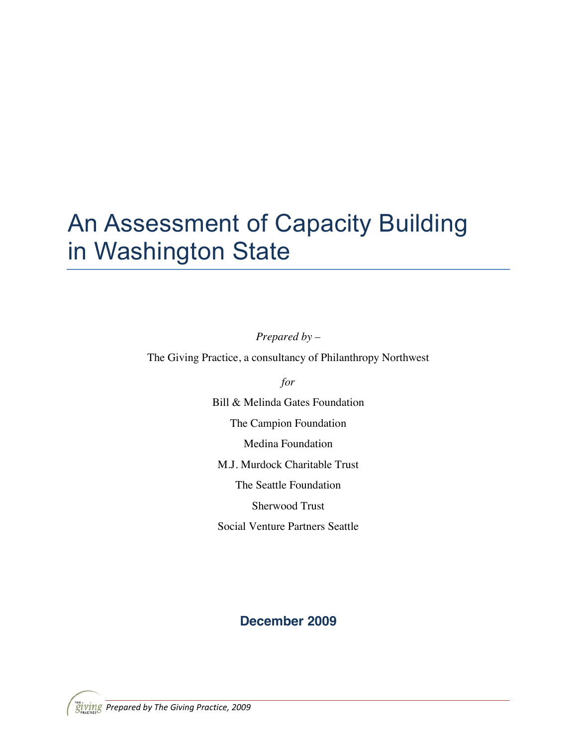# An Assessment of Capacity Building in Washington State

*Prepared by –*

The Giving Practice, a consultancy of Philanthropy Northwest

*for*

Bill & Melinda Gates Foundation The Campion Foundation Medina Foundation M.J. Murdock Charitable Trust The Seattle Foundation Sherwood Trust Social Venture Partners Seattle

## **December 2009**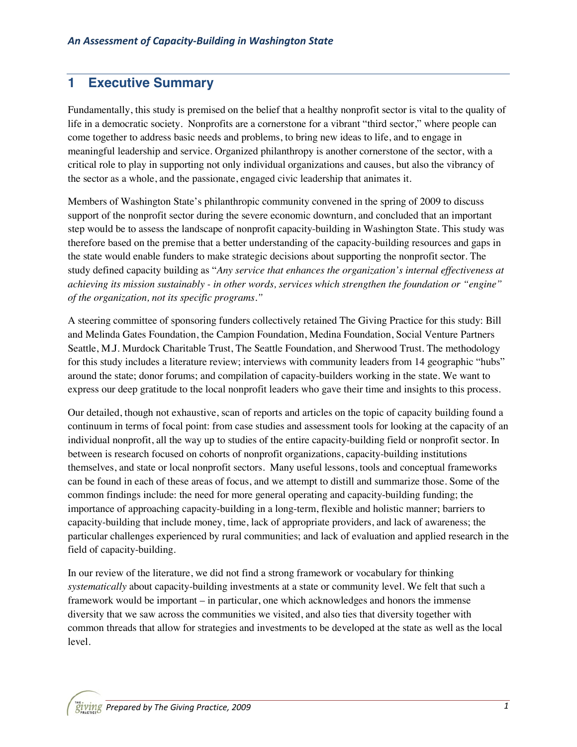## **1 Executive Summary**

Fundamentally, this study is premised on the belief that a healthy nonprofit sector is vital to the quality of life in a democratic society. Nonprofits are a cornerstone for a vibrant "third sector," where people can come together to address basic needs and problems, to bring new ideas to life, and to engage in meaningful leadership and service. Organized philanthropy is another cornerstone of the sector, with a critical role to play in supporting not only individual organizations and causes, but also the vibrancy of the sector as a whole, and the passionate, engaged civic leadership that animates it.

Members of Washington State's philanthropic community convened in the spring of 2009 to discuss support of the nonprofit sector during the severe economic downturn, and concluded that an important step would be to assess the landscape of nonprofit capacity-building in Washington State. This study was therefore based on the premise that a better understanding of the capacity-building resources and gaps in the state would enable funders to make strategic decisions about supporting the nonprofit sector. The study defined capacity building as "*Any service that enhances the organization's internal effectiveness at achieving its mission sustainably - in other words, services which strengthen the foundation or "engine" of the organization, not its specific programs."*

A steering committee of sponsoring funders collectively retained The Giving Practice for this study: Bill and Melinda Gates Foundation, the Campion Foundation, Medina Foundation, Social Venture Partners Seattle, M.J. Murdock Charitable Trust, The Seattle Foundation, and Sherwood Trust. The methodology for this study includes a literature review; interviews with community leaders from 14 geographic "hubs" around the state; donor forums; and compilation of capacity-builders working in the state. We want to express our deep gratitude to the local nonprofit leaders who gave their time and insights to this process.

Our detailed, though not exhaustive, scan of reports and articles on the topic of capacity building found a continuum in terms of focal point: from case studies and assessment tools for looking at the capacity of an individual nonprofit, all the way up to studies of the entire capacity-building field or nonprofit sector. In between is research focused on cohorts of nonprofit organizations, capacity-building institutions themselves, and state or local nonprofit sectors. Many useful lessons, tools and conceptual frameworks can be found in each of these areas of focus, and we attempt to distill and summarize those. Some of the common findings include: the need for more general operating and capacity-building funding; the importance of approaching capacity-building in a long-term, flexible and holistic manner; barriers to capacity-building that include money, time, lack of appropriate providers, and lack of awareness; the particular challenges experienced by rural communities; and lack of evaluation and applied research in the field of capacity-building.

In our review of the literature, we did not find a strong framework or vocabulary for thinking *systematically* about capacity-building investments at a state or community level. We felt that such a framework would be important – in particular, one which acknowledges and honors the immense diversity that we saw across the communities we visited, and also ties that diversity together with common threads that allow for strategies and investments to be developed at the state as well as the local level.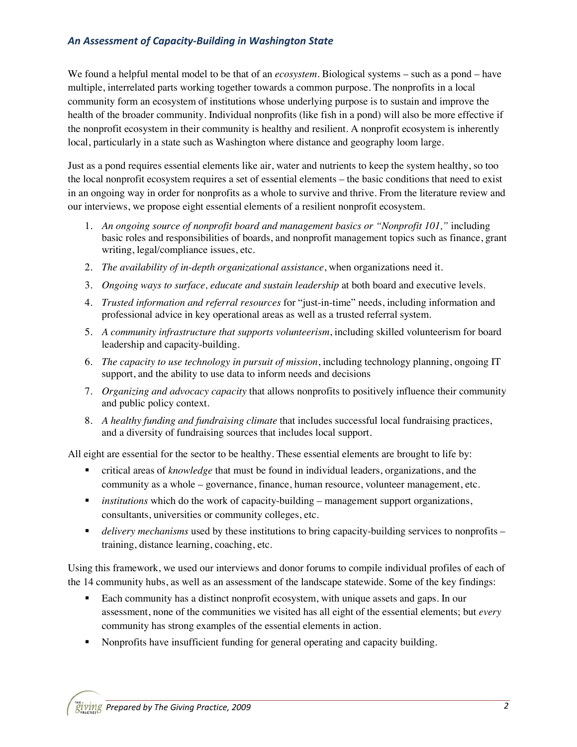### *An Assessment of Capacity-Building in Washington State*

We found a helpful mental model to be that of an *ecosystem*. Biological systems – such as a pond – have multiple, interrelated parts working together towards a common purpose. The nonprofits in a local community form an ecosystem of institutions whose underlying purpose is to sustain and improve the health of the broader community. Individual nonprofits (like fish in a pond) will also be more effective if the nonprofit ecosystem in their community is healthy and resilient. A nonprofit ecosystem is inherently local, particularly in a state such as Washington where distance and geography loom large.

Just as a pond requires essential elements like air, water and nutrients to keep the system healthy, so too the local nonprofit ecosystem requires a set of essential elements – the basic conditions that need to exist in an ongoing way in order for nonprofits as a whole to survive and thrive. From the literature review and our interviews, we propose eight essential elements of a resilient nonprofit ecosystem.

- 1. *An ongoing source of nonprofit board and management basics or "Nonprofit 101,"* including basic roles and responsibilities of boards, and nonprofit management topics such as finance, grant writing, legal/compliance issues, etc.
- 2. *The availability of in-depth organizational assistance*, when organizations need it.
- 3. *Ongoing ways to surface, educate and sustain leadership* at both board and executive levels.
- 4. *Trusted information and referral resources* for "just-in-time" needs, including information and professional advice in key operational areas as well as a trusted referral system.
- 5. *A community infrastructure that supports volunteerism*, including skilled volunteerism for board leadership and capacity-building.
- 6. *The capacity to use technology in pursuit of mission*, including technology planning, ongoing IT support, and the ability to use data to inform needs and decisions
- 7. *Organizing and advocacy capacity* that allows nonprofits to positively influence their community and public policy context.
- 8. *A healthy funding and fundraising climate* that includes successful local fundraising practices, and a diversity of fundraising sources that includes local support.

All eight are essential for the sector to be healthy. These essential elements are brought to life by:

- critical areas of *knowledge* that must be found in individual leaders, organizations, and the community as a whole – governance, finance, human resource, volunteer management, etc.
- *institutions* which do the work of capacity-building management support organizations, consultants, universities or community colleges, etc.
- **delivery mechanisms** used by these institutions to bring capacity-building services to nonprofits training, distance learning, coaching, etc.

Using this framework, we used our interviews and donor forums to compile individual profiles of each of the 14 community hubs, as well as an assessment of the landscape statewide. Some of the key findings:

- Each community has a distinct nonprofit ecosystem, with unique assets and gaps. In our assessment, none of the communities we visited has all eight of the essential elements; but *every* community has strong examples of the essential elements in action.
- Nonprofits have insufficient funding for general operating and capacity building.